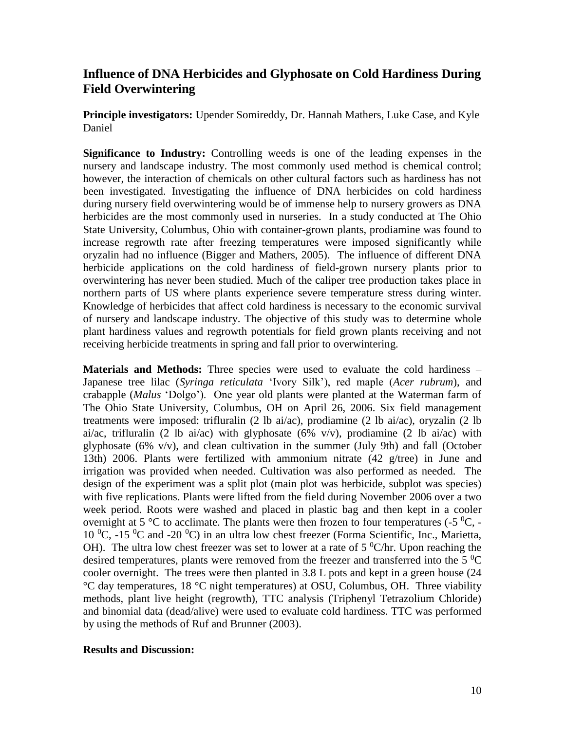## **Influence of DNA Herbicides and Glyphosate on Cold Hardiness During Field Overwintering**

**Principle investigators:** Upender Somireddy, Dr. Hannah Mathers, Luke Case, and Kyle Daniel

**Significance to Industry:** Controlling weeds is one of the leading expenses in the nursery and landscape industry. The most commonly used method is chemical control; however, the interaction of chemicals on other cultural factors such as hardiness has not been investigated. Investigating the influence of DNA herbicides on cold hardiness during nursery field overwintering would be of immense help to nursery growers as DNA herbicides are the most commonly used in nurseries. In a study conducted at The Ohio State University, Columbus, Ohio with container-grown plants, prodiamine was found to increase regrowth rate after freezing temperatures were imposed significantly while oryzalin had no influence (Bigger and Mathers, 2005). The influence of different DNA herbicide applications on the cold hardiness of field-grown nursery plants prior to overwintering has never been studied. Much of the caliper tree production takes place in northern parts of US where plants experience severe temperature stress during winter. Knowledge of herbicides that affect cold hardiness is necessary to the economic survival of nursery and landscape industry. The objective of this study was to determine whole plant hardiness values and regrowth potentials for field grown plants receiving and not receiving herbicide treatments in spring and fall prior to overwintering.

**Materials and Methods:** Three species were used to evaluate the cold hardiness – Japanese tree lilac (*Syringa reticulata* 'Ivory Silk'), red maple (*Acer rubrum*), and crabapple (*Malus* 'Dolgo'). One year old plants were planted at the Waterman farm of The Ohio State University, Columbus, OH on April 26, 2006. Six field management treatments were imposed: trifluralin (2 lb ai/ac), prodiamine (2 lb ai/ac), oryzalin (2 lb ai/ac, trifluralin (2 lb ai/ac) with glyphosate (6% v/v), prodiamine (2 lb ai/ac) with glyphosate (6% v/v), and clean cultivation in the summer (July 9th) and fall (October 13th) 2006. Plants were fertilized with ammonium nitrate (42 g/tree) in June and irrigation was provided when needed. Cultivation was also performed as needed. The design of the experiment was a split plot (main plot was herbicide, subplot was species) with five replications. Plants were lifted from the field during November 2006 over a two week period. Roots were washed and placed in plastic bag and then kept in a cooler overnight at 5  $\rm{^{\circ}C}$  to acclimate. The plants were then frozen to four temperatures (-5  $\rm{^{\circ}C}$ , -10  $^0$ C, -15  $^0$ C and -20  $^0$ C) in an ultra low chest freezer (Forma Scientific, Inc., Marietta, OH). The ultra low chest freezer was set to lower at a rate of  $5 \degree$ C/hr. Upon reaching the desired temperatures, plants were removed from the freezer and transferred into the 5  $^{0}$ C cooler overnight. The trees were then planted in 3.8 L pots and kept in a green house (24 °C day temperatures, 18 °C night temperatures) at OSU, Columbus, OH. Three viability methods, plant live height (regrowth), TTC analysis (Triphenyl Tetrazolium Chloride) and binomial data (dead/alive) were used to evaluate cold hardiness. TTC was performed by using the methods of Ruf and Brunner (2003).

## **Results and Discussion:**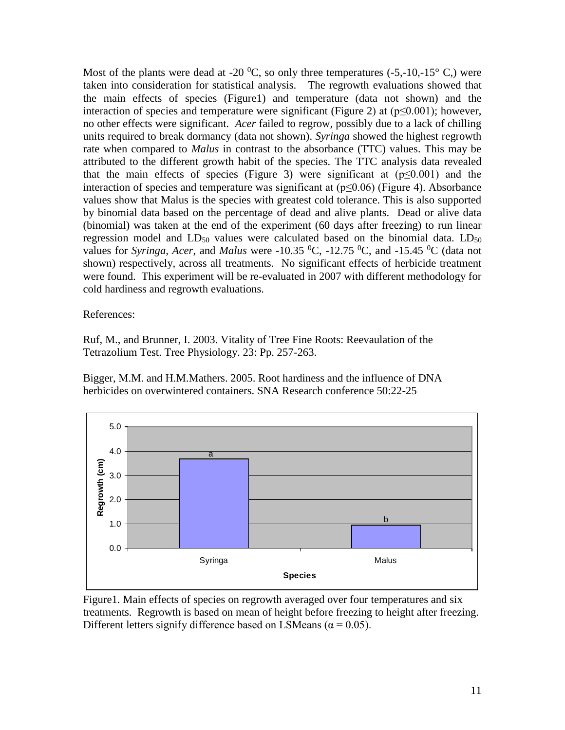Most of the plants were dead at -20  $^0C$ , so only three temperatures (-5,-10,-15 $^{\circ}$  C,) were taken into consideration for statistical analysis. The regrowth evaluations showed that the main effects of species (Figure1) and temperature (data not shown) and the interaction of species and temperature were significant (Figure 2) at  $(p \le 0.001)$ ; however, no other effects were significant. *Acer* failed to regrow, possibly due to a lack of chilling units required to break dormancy (data not shown). *Syringa* showed the highest regrowth rate when compared to *Malus* in contrast to the absorbance (TTC) values. This may be attributed to the different growth habit of the species. The TTC analysis data revealed that the main effects of species (Figure 3) were significant at  $(p \le 0.001)$  and the interaction of species and temperature was significant at  $(p \le 0.06)$  (Figure 4). Absorbance values show that Malus is the species with greatest cold tolerance. This is also supported by binomial data based on the percentage of dead and alive plants. Dead or alive data (binomial) was taken at the end of the experiment (60 days after freezing) to run linear regression model and  $LD_{50}$  values were calculated based on the binomial data.  $LD_{50}$ values for *Syringa*, *Acer*, and *Malus* were -10.35 <sup>0</sup>C, -12.75 <sup>0</sup>C, and -15.45 <sup>0</sup>C (data not shown) respectively, across all treatments. No significant effects of herbicide treatment were found. This experiment will be re-evaluated in 2007 with different methodology for cold hardiness and regrowth evaluations.

References:

Ruf, M., and Brunner, I. 2003. Vitality of Tree Fine Roots: Reevaulation of the Tetrazolium Test. Tree Physiology. 23: Pp. 257-263.

Bigger, M.M. and H.M.Mathers. 2005. Root hardiness and the influence of DNA herbicides on overwintered containers. SNA Research conference 50:22-25



Figure1. Main effects of species on regrowth averaged over four temperatures and six treatments. Regrowth is based on mean of height before freezing to height after freezing. Different letters signify difference based on LSMeans ( $\alpha$  = 0.05).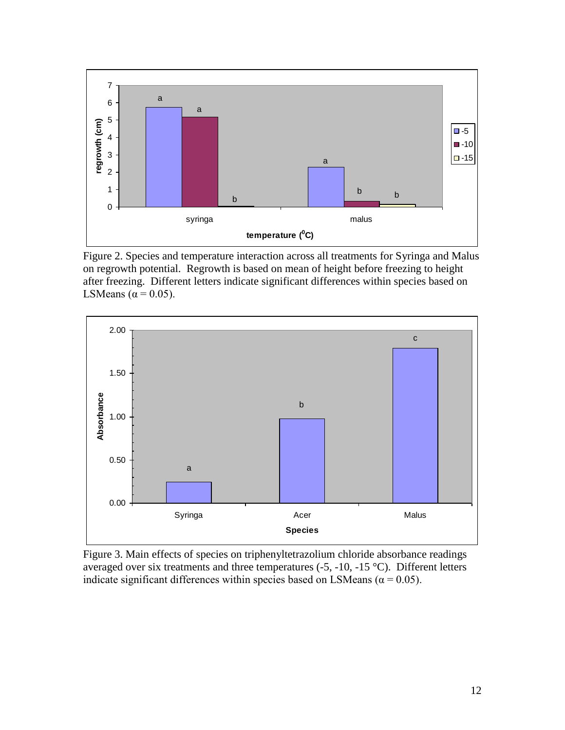

Figure 2. Species and temperature interaction across all treatments for Syringa and Malus on regrowth potential. Regrowth is based on mean of height before freezing to height after freezing. Different letters indicate significant differences within species based on LSMeans ( $\alpha$  = 0.05).



Figure 3. Main effects of species on triphenyltetrazolium chloride absorbance readings averaged over six treatments and three temperatures (-5, -10, -15 °C). Different letters indicate significant differences within species based on LSMeans ( $\alpha$  = 0.05).